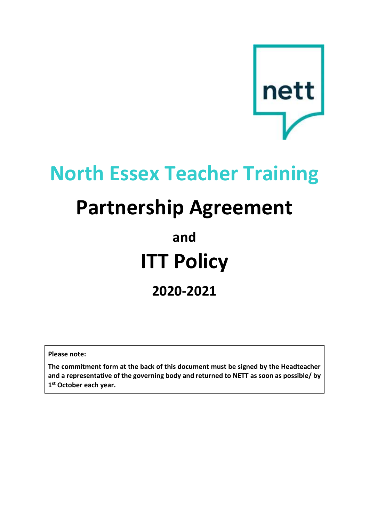

# **North Essex Teacher Training**

# **Partnership Agreement**

# **and ITT Policy 2020-2021**

**Please note:**

**The commitment form at the back of this document must be signed by the Headteacher and a representative of the governing body and returned to NETT as soon as possible/ by 1 st October each year.**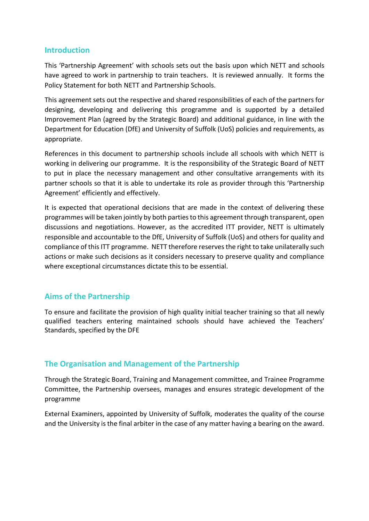# **Introduction**

This 'Partnership Agreement' with schools sets out the basis upon which NETT and schools have agreed to work in partnership to train teachers. It is reviewed annually. It forms the Policy Statement for both NETT and Partnership Schools.

This agreement sets out the respective and shared responsibilities of each of the partners for designing, developing and delivering this programme and is supported by a detailed Improvement Plan (agreed by the Strategic Board) and additional guidance, in line with the Department for Education (DfE) and University of Suffolk (UoS) policies and requirements, as appropriate.

References in this document to partnership schools include all schools with which NETT is working in delivering our programme. It is the responsibility of the Strategic Board of NETT to put in place the necessary management and other consultative arrangements with its partner schools so that it is able to undertake its role as provider through this 'Partnership Agreement' efficiently and effectively.

It is expected that operational decisions that are made in the context of delivering these programmes will be taken jointly by both parties to this agreement through transparent, open discussions and negotiations. However, as the accredited ITT provider, NETT is ultimately responsible and accountable to the DfE, University of Suffolk (UoS) and others for quality and compliance of this ITT programme. NETT therefore reserves the right to take unilaterally such actions or make such decisions as it considers necessary to preserve quality and compliance where exceptional circumstances dictate this to be essential.

# **Aims of the Partnership**

To ensure and facilitate the provision of high quality initial teacher training so that all newly qualified teachers entering maintained schools should have achieved the Teachers' Standards, specified by the DFE

# **The Organisation and Management of the Partnership**

Through the Strategic Board, Training and Management committee, and Trainee Programme Committee, the Partnership oversees, manages and ensures strategic development of the programme

External Examiners, appointed by University of Suffolk, moderates the quality of the course and the University is the final arbiter in the case of any matter having a bearing on the award.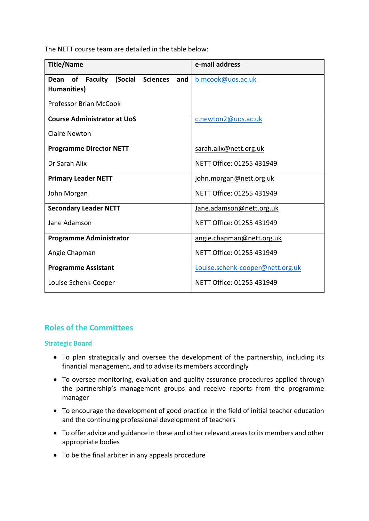The NETT course team are detailed in the table below:

| <b>Title/Name</b>                                                                | e-mail address                   |
|----------------------------------------------------------------------------------|----------------------------------|
| <b>Faculty</b><br>(Social<br><b>Sciences</b><br>of<br>and<br>Dean<br>Humanities) | b.mcook@uos.ac.uk                |
| <b>Professor Brian McCook</b>                                                    |                                  |
| <b>Course Administrator at UoS</b>                                               | c.newton2@uos.ac.uk              |
| <b>Claire Newton</b>                                                             |                                  |
| <b>Programme Director NETT</b>                                                   | sarah.alix@nett.org.uk           |
| Dr Sarah Alix                                                                    | NETT Office: 01255 431949        |
| <b>Primary Leader NETT</b>                                                       | john.morgan@nett.org.uk          |
| John Morgan                                                                      | NETT Office: 01255 431949        |
| <b>Secondary Leader NETT</b>                                                     | Jane.adamson@nett.org.uk         |
| Jane Adamson                                                                     | NETT Office: 01255 431949        |
| <b>Programme Administrator</b>                                                   | angie.chapman@nett.org.uk        |
| Angie Chapman                                                                    | NETT Office: 01255 431949        |
| <b>Programme Assistant</b>                                                       | Louise.schenk-cooper@nett.org.uk |
| Louise Schenk-Cooper                                                             | NETT Office: 01255 431949        |

# **Roles of the Committees**

## **Strategic Board**

- To plan strategically and oversee the development of the partnership, including its financial management, and to advise its members accordingly
- To oversee monitoring, evaluation and quality assurance procedures applied through the partnership's management groups and receive reports from the programme manager
- To encourage the development of good practice in the field of initial teacher education and the continuing professional development of teachers
- To offer advice and guidance in these and other relevant areas to its members and other appropriate bodies
- To be the final arbiter in any appeals procedure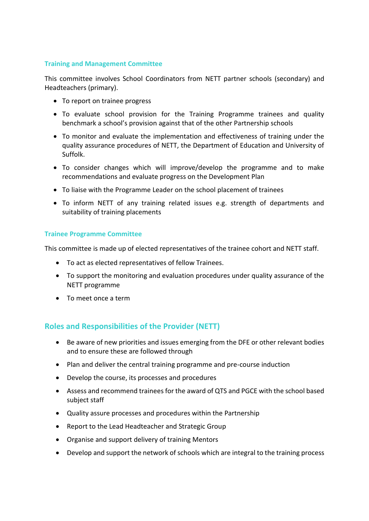## **Training and Management Committee**

This committee involves School Coordinators from NETT partner schools (secondary) and Headteachers (primary).

- To report on trainee progress
- To evaluate school provision for the Training Programme trainees and quality benchmark a school's provision against that of the other Partnership schools
- To monitor and evaluate the implementation and effectiveness of training under the quality assurance procedures of NETT, the Department of Education and University of Suffolk.
- To consider changes which will improve/develop the programme and to make recommendations and evaluate progress on the Development Plan
- To liaise with the Programme Leader on the school placement of trainees
- To inform NETT of any training related issues e.g. strength of departments and suitability of training placements

### **Trainee Programme Committee**

This committee is made up of elected representatives of the trainee cohort and NETT staff.

- To act as elected representatives of fellow Trainees.
- To support the monitoring and evaluation procedures under quality assurance of the NETT programme
- To meet once a term

# **Roles and Responsibilities of the Provider (NETT)**

- Be aware of new priorities and issues emerging from the DFE or other relevant bodies and to ensure these are followed through
- Plan and deliver the central training programme and pre-course induction
- Develop the course, its processes and procedures
- Assess and recommend trainees for the award of QTS and PGCE with the school based subject staff
- Quality assure processes and procedures within the Partnership
- Report to the Lead Headteacher and Strategic Group
- Organise and support delivery of training Mentors
- Develop and support the network of schools which are integral to the training process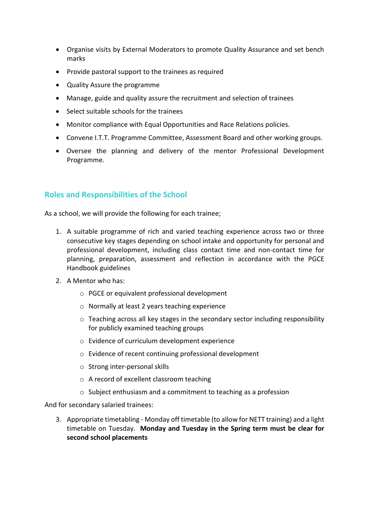- Organise visits by External Moderators to promote Quality Assurance and set bench marks
- Provide pastoral support to the trainees as required
- Quality Assure the programme
- Manage, guide and quality assure the recruitment and selection of trainees
- Select suitable schools for the trainees
- Monitor compliance with Equal Opportunities and Race Relations policies.
- Convene I.T.T. Programme Committee, Assessment Board and other working groups.
- Oversee the planning and delivery of the mentor Professional Development Programme.

# **Roles and Responsibilities of the School**

As a school, we will provide the following for each trainee;

- 1. A suitable programme of rich and varied teaching experience across two or three consecutive key stages depending on school intake and opportunity for personal and professional development, including class contact time and non-contact time for planning, preparation, assessment and reflection in accordance with the PGCE Handbook guidelines
- 2. A Mentor who has:
	- o PGCE or equivalent professional development
	- o Normally at least 2 years teaching experience
	- $\circ$  Teaching across all key stages in the secondary sector including responsibility for publicly examined teaching groups
	- o Evidence of curriculum development experience
	- o Evidence of recent continuing professional development
	- o Strong inter-personal skills
	- o A record of excellent classroom teaching
	- o Subject enthusiasm and a commitment to teaching as a profession

And for secondary salaried trainees:

3. Appropriate timetabling - Monday off timetable (to allow for NETT training) and a light timetable on Tuesday. **Monday and Tuesday in the Spring term must be clear for second school placements**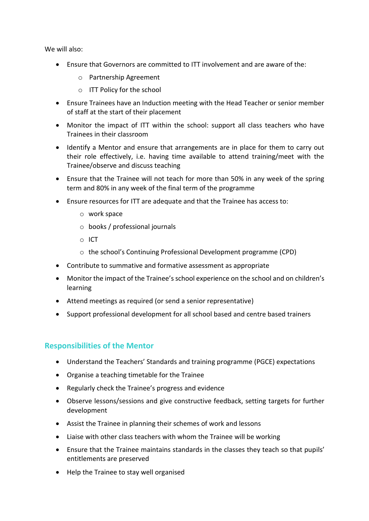We will also:

- Ensure that Governors are committed to ITT involvement and are aware of the:
	- o Partnership Agreement
	- o ITT Policy for the school
- Ensure Trainees have an Induction meeting with the Head Teacher or senior member of staff at the start of their placement
- Monitor the impact of ITT within the school: support all class teachers who have Trainees in their classroom
- Identify a Mentor and ensure that arrangements are in place for them to carry out their role effectively, i.e. having time available to attend training/meet with the Trainee/observe and discuss teaching
- Ensure that the Trainee will not teach for more than 50% in any week of the spring term and 80% in any week of the final term of the programme
- Ensure resources for ITT are adequate and that the Trainee has access to:
	- o work space
	- o books / professional journals
	- o ICT
	- o the school's Continuing Professional Development programme (CPD)
- Contribute to summative and formative assessment as appropriate
- Monitor the impact of the Trainee's school experience on the school and on children's learning
- Attend meetings as required (or send a senior representative)
- Support professional development for all school based and centre based trainers

# **Responsibilities of the Mentor**

- Understand the Teachers' Standards and training programme (PGCE) expectations
- Organise a teaching timetable for the Trainee
- Regularly check the Trainee's progress and evidence
- Observe lessons/sessions and give constructive feedback, setting targets for further development
- Assist the Trainee in planning their schemes of work and lessons
- Liaise with other class teachers with whom the Trainee will be working
- Ensure that the Trainee maintains standards in the classes they teach so that pupils' entitlements are preserved
- Help the Trainee to stay well organised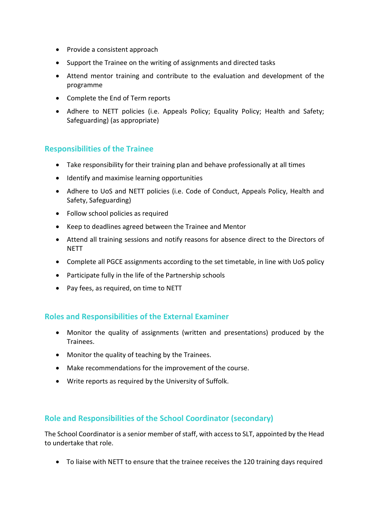- Provide a consistent approach
- Support the Trainee on the writing of assignments and directed tasks
- Attend mentor training and contribute to the evaluation and development of the programme
- Complete the End of Term reports
- Adhere to NETT policies (i.e. Appeals Policy; Equality Policy; Health and Safety; Safeguarding) (as appropriate)

# **Responsibilities of the Trainee**

- Take responsibility for their training plan and behave professionally at all times
- Identify and maximise learning opportunities
- Adhere to UoS and NETT policies (i.e. Code of Conduct, Appeals Policy, Health and Safety, Safeguarding)
- Follow school policies as required
- Keep to deadlines agreed between the Trainee and Mentor
- Attend all training sessions and notify reasons for absence direct to the Directors of **NFTT**
- Complete all PGCE assignments according to the set timetable, in line with UoS policy
- Participate fully in the life of the Partnership schools
- Pay fees, as required, on time to NETT

# **Roles and Responsibilities of the External Examiner**

- Monitor the quality of assignments (written and presentations) produced by the Trainees.
- Monitor the quality of teaching by the Trainees.
- Make recommendations for the improvement of the course.
- Write reports as required by the University of Suffolk.

# **Role and Responsibilities of the School Coordinator (secondary)**

The School Coordinator is a senior member of staff, with access to SLT, appointed by the Head to undertake that role.

• To liaise with NETT to ensure that the trainee receives the 120 training days required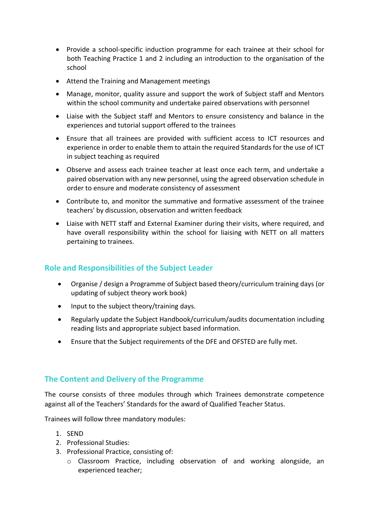- Provide a school-specific induction programme for each trainee at their school for both Teaching Practice 1 and 2 including an introduction to the organisation of the school
- Attend the Training and Management meetings
- Manage, monitor, quality assure and support the work of Subject staff and Mentors within the school community and undertake paired observations with personnel
- Liaise with the Subject staff and Mentors to ensure consistency and balance in the experiences and tutorial support offered to the trainees
- Ensure that all trainees are provided with sufficient access to ICT resources and experience in order to enable them to attain the required Standards for the use of ICT in subject teaching as required
- Observe and assess each trainee teacher at least once each term, and undertake a paired observation with any new personnel, using the agreed observation schedule in order to ensure and moderate consistency of assessment
- Contribute to, and monitor the summative and formative assessment of the trainee teachers' by discussion, observation and written feedback
- Liaise with NETT staff and External Examiner during their visits, where required, and have overall responsibility within the school for liaising with NETT on all matters pertaining to trainees.

# **Role and Responsibilities of the Subject Leader**

- Organise / design a Programme of Subject based theory/curriculum training days (or updating of subject theory work book)
- Input to the subject theory/training days.
- Regularly update the Subject Handbook/curriculum/audits documentation including reading lists and appropriate subject based information.
- Ensure that the Subject requirements of the DFE and OFSTED are fully met.

# **The Content and Delivery of the Programme**

The course consists of three modules through which Trainees demonstrate competence against all of the Teachers' Standards for the award of Qualified Teacher Status.

Trainees will follow three mandatory modules:

- 1. SEND
- 2. Professional Studies:
- 3. Professional Practice, consisting of:
	- o Classroom Practice, including observation of and working alongside, an experienced teacher;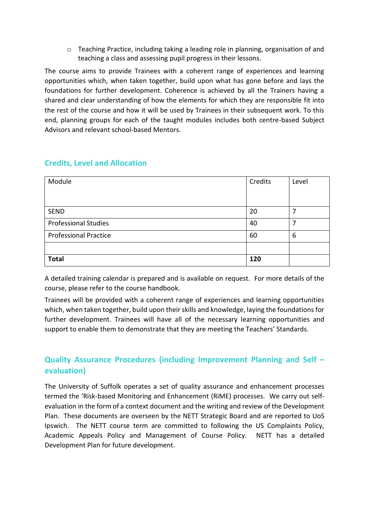o Teaching Practice, including taking a leading role in planning, organisation of and teaching a class and assessing pupil progress in their lessons.

The course aims to provide Trainees with a coherent range of experiences and learning opportunities which, when taken together, build upon what has gone before and lays the foundations for further development. Coherence is achieved by all the Trainers having a shared and clear understanding of how the elements for which they are responsible fit into the rest of the course and how it will be used by Trainees in their subsequent work. To this end, planning groups for each of the taught modules includes both centre-based Subject Advisors and relevant school-based Mentors.

| Module                       | Credits | Level |
|------------------------------|---------|-------|
|                              |         |       |
|                              |         |       |
| <b>SEND</b>                  | 20      | 7     |
| <b>Professional Studies</b>  | 40      |       |
| <b>Professional Practice</b> | 60      | 6     |
|                              |         |       |
| <b>Total</b>                 | 120     |       |

# **Credits, Level and Allocation**

A detailed training calendar is prepared and is available on request. For more details of the course, please refer to the course handbook.

Trainees will be provided with a coherent range of experiences and learning opportunities which, when taken together, build upon their skills and knowledge, laying the foundations for further development. Trainees will have all of the necessary learning opportunities and support to enable them to demonstrate that they are meeting the Teachers' Standards.

# **Quality Assurance Procedures (including Improvement Planning and Self – evaluation)**

The University of Suffolk operates a set of quality assurance and enhancement processes termed the 'Risk-based Monitoring and Enhancement (RiME) processes. We carry out selfevaluation in the form of a context document and the writing and review of the Development Plan. These documents are overseen by the NETT Strategic Board and are reported to UoS Ipswich. The NETT course term are committed to following the US Complaints Policy, Academic Appeals Policy and Management of Course Policy. NETT has a detailed Development Plan for future development.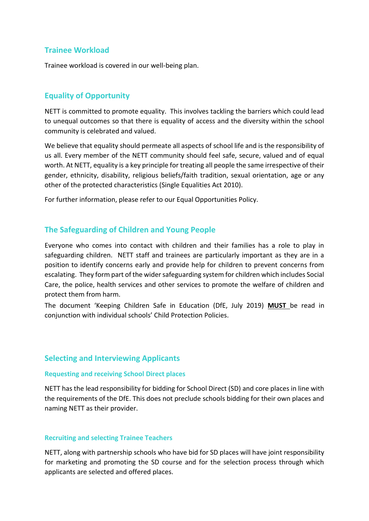## **Trainee Workload**

Trainee workload is covered in our well-being plan.

## **Equality of Opportunity**

NETT is committed to promote equality. This involves tackling the barriers which could lead to unequal outcomes so that there is equality of access and the diversity within the school community is celebrated and valued.

We believe that equality should permeate all aspects of school life and is the responsibility of us all. Every member of the NETT community should feel safe, secure, valued and of equal worth. At NETT, equality is a key principle for treating all people the same irrespective of their gender, ethnicity, disability, religious beliefs/faith tradition, sexual orientation, age or any other of the protected characteristics (Single Equalities Act 2010).

For further information, please refer to our Equal Opportunities Policy.

## **The Safeguarding of Children and Young People**

Everyone who comes into contact with children and their families has a role to play in safeguarding children. NETT staff and trainees are particularly important as they are in a position to identify concerns early and provide help for children to prevent concerns from escalating. They form part of the wider safeguarding system for children which includes Social Care, the police, health services and other services to promote the welfare of children and protect them from harm.

The document 'Keeping Children Safe in Education (DfE, July 2019) **MUST** be read in conjunction with individual schools' Child Protection Policies.

## **Selecting and Interviewing Applicants**

#### **Requesting and receiving School Direct places**

NETT has the lead responsibility for bidding for School Direct (SD) and core places in line with the requirements of the DfE. This does not preclude schools bidding for their own places and naming NETT as their provider.

#### **Recruiting and selecting Trainee Teachers**

NETT, along with partnership schools who have bid for SD places will have joint responsibility for marketing and promoting the SD course and for the selection process through which applicants are selected and offered places.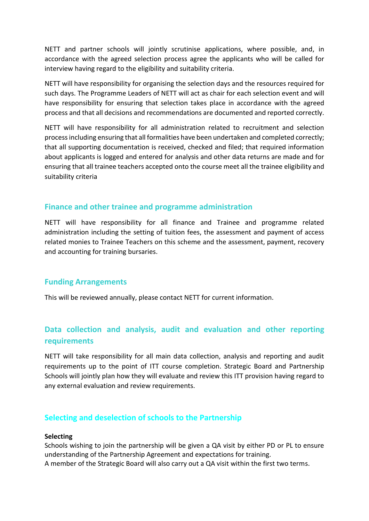NETT and partner schools will jointly scrutinise applications, where possible, and, in accordance with the agreed selection process agree the applicants who will be called for interview having regard to the eligibility and suitability criteria.

NETT will have responsibility for organising the selection days and the resources required for such days. The Programme Leaders of NETT will act as chair for each selection event and will have responsibility for ensuring that selection takes place in accordance with the agreed process and that all decisions and recommendations are documented and reported correctly.

NETT will have responsibility for all administration related to recruitment and selection process including ensuring that all formalities have been undertaken and completed correctly; that all supporting documentation is received, checked and filed; that required information about applicants is logged and entered for analysis and other data returns are made and for ensuring that all trainee teachers accepted onto the course meet all the trainee eligibility and suitability criteria

## **Finance and other trainee and programme administration**

NETT will have responsibility for all finance and Trainee and programme related administration including the setting of tuition fees, the assessment and payment of access related monies to Trainee Teachers on this scheme and the assessment, payment, recovery and accounting for training bursaries.

## **Funding Arrangements**

This will be reviewed annually, please contact NETT for current information.

# **Data collection and analysis, audit and evaluation and other reporting requirements**

NETT will take responsibility for all main data collection, analysis and reporting and audit requirements up to the point of ITT course completion. Strategic Board and Partnership Schools will jointly plan how they will evaluate and review this ITT provision having regard to any external evaluation and review requirements.

## **Selecting and deselection of schools to the Partnership**

### **Selecting**

Schools wishing to join the partnership will be given a QA visit by either PD or PL to ensure understanding of the Partnership Agreement and expectations for training. A member of the Strategic Board will also carry out a QA visit within the first two terms.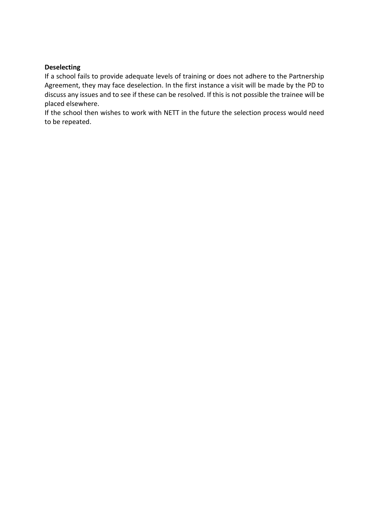## **Deselecting**

If a school fails to provide adequate levels of training or does not adhere to the Partnership Agreement, they may face deselection. In the first instance a visit will be made by the PD to discuss any issues and to see if these can be resolved. If this is not possible the trainee will be placed elsewhere.

If the school then wishes to work with NETT in the future the selection process would need to be repeated.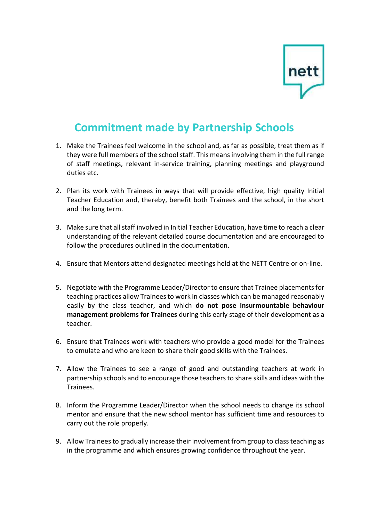

# **Commitment made by Partnership Schools**

- 1. Make the Trainees feel welcome in the school and, as far as possible, treat them as if they were full members of the school staff. This means involving them in the full range of staff meetings, relevant in-service training, planning meetings and playground duties etc.
- 2. Plan its work with Trainees in ways that will provide effective, high quality Initial Teacher Education and, thereby, benefit both Trainees and the school, in the short and the long term.
- 3. Make sure that all staff involved in Initial Teacher Education, have time to reach a clear understanding of the relevant detailed course documentation and are encouraged to follow the procedures outlined in the documentation.
- 4. Ensure that Mentors attend designated meetings held at the NETT Centre or on-line.
- 5. Negotiate with the Programme Leader/Director to ensure that Trainee placements for teaching practices allow Trainees to work in classes which can be managed reasonably easily by the class teacher, and which **do not pose insurmountable behaviour management problems for Trainees** during this early stage of their development as a teacher.
- 6. Ensure that Trainees work with teachers who provide a good model for the Trainees to emulate and who are keen to share their good skills with the Trainees.
- 7. Allow the Trainees to see a range of good and outstanding teachers at work in partnership schools and to encourage those teachers to share skills and ideas with the Trainees.
- 8. Inform the Programme Leader/Director when the school needs to change its school mentor and ensure that the new school mentor has sufficient time and resources to carry out the role properly.
- 9. Allow Trainees to gradually increase their involvement from group to class teaching as in the programme and which ensures growing confidence throughout the year.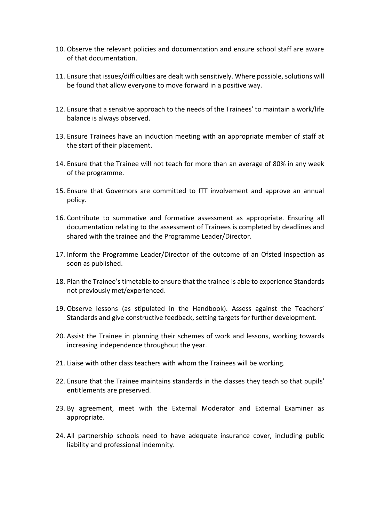- 10. Observe the relevant policies and documentation and ensure school staff are aware of that documentation.
- 11. Ensure that issues/difficulties are dealt with sensitively. Where possible, solutions will be found that allow everyone to move forward in a positive way.
- 12. Ensure that a sensitive approach to the needs of the Trainees' to maintain a work/life balance is always observed.
- 13. Ensure Trainees have an induction meeting with an appropriate member of staff at the start of their placement.
- 14. Ensure that the Trainee will not teach for more than an average of 80% in any week of the programme.
- 15. Ensure that Governors are committed to ITT involvement and approve an annual policy.
- 16. Contribute to summative and formative assessment as appropriate. Ensuring all documentation relating to the assessment of Trainees is completed by deadlines and shared with the trainee and the Programme Leader/Director.
- 17. Inform the Programme Leader/Director of the outcome of an Ofsted inspection as soon as published.
- 18. Plan the Trainee's timetable to ensure that the trainee is able to experience Standards not previously met/experienced.
- 19. Observe lessons (as stipulated in the Handbook). Assess against the Teachers' Standards and give constructive feedback, setting targets for further development.
- 20. Assist the Trainee in planning their schemes of work and lessons, working towards increasing independence throughout the year.
- 21. Liaise with other class teachers with whom the Trainees will be working.
- 22. Ensure that the Trainee maintains standards in the classes they teach so that pupils' entitlements are preserved.
- 23. By agreement, meet with the External Moderator and External Examiner as appropriate.
- 24. All partnership schools need to have adequate insurance cover, including public liability and professional indemnity.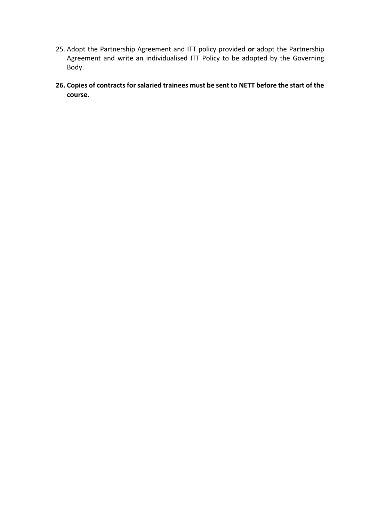- 25. Adopt the Partnership Agreement and ITT policy provided **or** adopt the Partnership Agreement and write an individualised ITT Policy to be adopted by the Governing Body.
- **26. Copies of contracts for salaried trainees must be sent to NETT before the start of the course.**